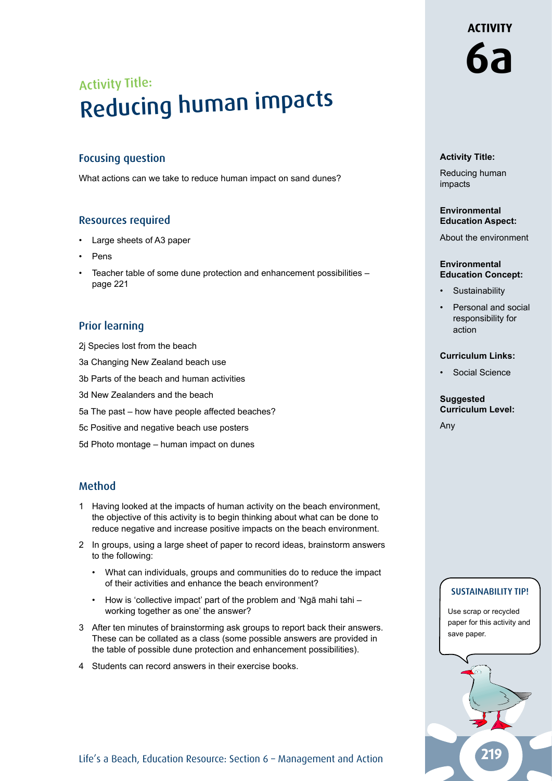# Activity Title: Reducing human impacts

#### Focusing question

What actions can we take to reduce human impact on sand dunes?

#### Resources required

- Large sheets of A3 paper
- Pens
- Teacher table of some dune protection and enhancement possibilities page 221

#### Prior learning

- 2j Species lost from the beach
- 3a Changing New Zealand beach use
- 3b Parts of the beach and human activities
- 3d New Zealanders and the beach
- 5a The past how have people affected beaches?
- 5c Positive and negative beach use posters
- 5d Photo montage human impact on dunes

#### Method

- 1 Having looked at the impacts of human activity on the beach environment, the objective of this activity is to begin thinking about what can be done to reduce negative and increase positive impacts on the beach environment.
- 2 In groups, using a large sheet of paper to record ideas, brainstorm answers to the following:
	- What can individuals, groups and communities do to reduce the impact of their activities and enhance the beach environment?
	- How is 'collective impact' part of the problem and 'Ngā mahi tahi working together as one' the answer?
- 3 After ten minutes of brainstorming ask groups to report back their answers. These can be collated as a class (some possible answers are provided in the table of possible dune protection and enhancement possibilities).
- 4 Students can record answers in their exercise books.

#### **Activity Title:**

Reducing human impacts

#### **Environmental Education Aspect:**

About the environment

#### **Environmental Education Concept:**

- **Sustainability**
- Personal and social responsibility for action

#### **Curriculum Links:**

Social Science

#### **Suggested Curriculum Level:**

Any

#### SUSTAINABILITY TIP!

Use scrap or recycled paper for this activity and save paper.



## **ACTIVITY**

**6a**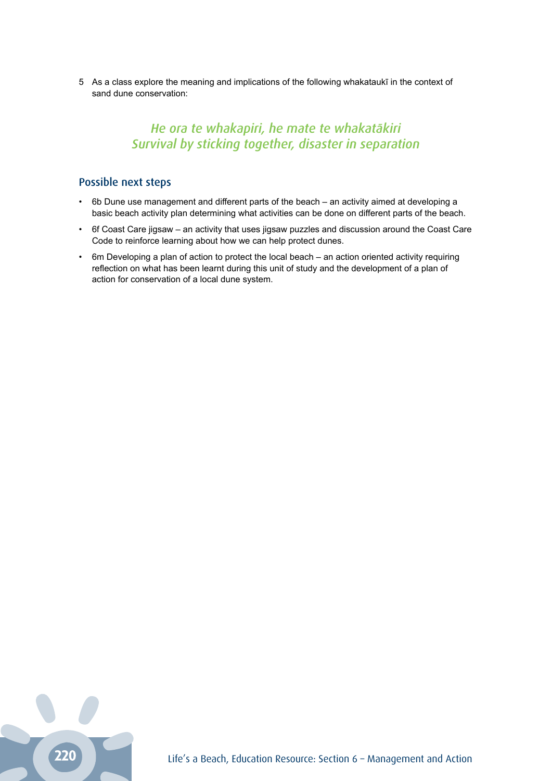5 As a class explore the meaning and implications of the following whakataukī in the context of sand dune conservation:

### *He ora te whakapiri, he mate te whakatākiri Survival by sticking together, disaster in separation*

#### Possible next steps

- 6b Dune use management and different parts of the beach an activity aimed at developing a basic beach activity plan determining what activities can be done on different parts of the beach.
- 6f Coast Care jigsaw an activity that uses jigsaw puzzles and discussion around the Coast Care Code to reinforce learning about how we can help protect dunes.
- 6m Developing a plan of action to protect the local beach an action oriented activity requiring reflection on what has been learnt during this unit of study and the development of a plan of action for conservation of a local dune system.